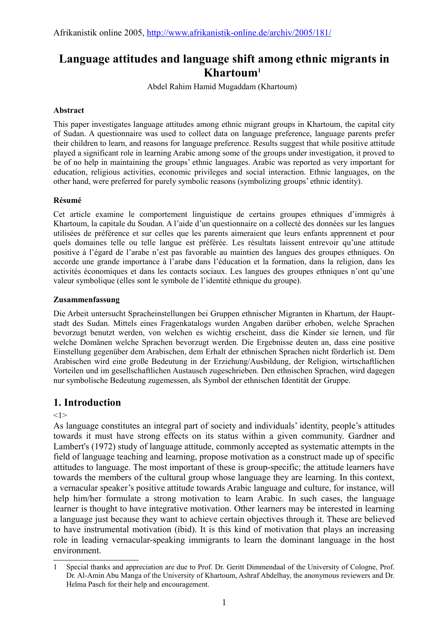# **Language attitudes and language shift among ethnic migrants in Khartoum[1](#page-0-0)**

Abdel Rahim Hamid Mugaddam (Khartoum)

## **Abstract**

This paper investigates language attitudes among ethnic migrant groups in Khartoum, the capital city of Sudan. A questionnaire was used to collect data on language preference, language parents prefer their children to learn, and reasons for language preference. Results suggest that while positive attitude played a significant role in learning Arabic among some of the groups under investigation, it proved to be of no help in maintaining the groups' ethnic languages. Arabic was reported as very important for education, religious activities, economic privileges and social interaction. Ethnic languages, on the other hand, were preferred for purely symbolic reasons (symbolizing groups' ethnic identity).

#### **Résumé**

Cet article examine le comportement linguistique de certains groupes ethniques d'immigrés à Khartoum, la capitale du Soudan. A l'aide d'un questionnaire on a collecté des données sur les langues utilisées de préférence et sur celles que les parents aimeraient que leurs enfants apprennent et pour quels domaines telle ou telle langue est préférée. Les résultats laissent entrevoir qu'une attitude positive à l'égard de l'arabe n'est pas favorable au maintien des langues des groupes ethniques. On accorde une grande importance à l'arabe dans l'éducation et la formation, dans la religion, dans les activités économiques et dans les contacts sociaux. Les langues des groupes ethniques n'ont qu'une valeur symbolique (elles sont le symbole de l'identité ethnique du groupe).

#### **Zusammenfassung**

Die Arbeit untersucht Spracheinstellungen bei Gruppen ethnischer Migranten in Khartum, der Hauptstadt des Sudan. Mittels eines Fragenkatalogs wurden Angaben darüber erhoben, welche Sprachen bevorzugt benutzt werden, von welchen es wichtig erscheint, dass die Kinder sie lernen, und für welche Domänen welche Sprachen bevorzugt werden. Die Ergebnisse deuten an, dass eine positive Einstellung gegenüber dem Arabischen, dem Erhalt der ethnischen Sprachen nicht förderlich ist. Dem Arabischen wird eine große Bedeutung in der Erziehung/Ausbildung, der Religion, wirtschaftlichen Vorteilen und im gesellschaftlichen Austausch zugeschrieben. Den ethnischen Sprachen, wird dagegen nur symbolische Bedeutung zugemessen, als Symbol der ethnischen Identität der Gruppe.

# **1. Introduction**

 $<1>$ 

As language constitutes an integral part of society and individuals' identity, people's attitudes towards it must have strong effects on its status within a given community. Gardner and Lambert's (1972) study of language attitude, commonly accepted as systematic attempts in the field of language teaching and learning, propose motivation as a construct made up of specific attitudes to language. The most important of these is group-specific; the attitude learners have towards the members of the cultural group whose language they are learning. In this context, a vernacular speaker's positive attitude towards Arabic language and culture, for instance, will help him/her formulate a strong motivation to learn Arabic. In such cases, the language learner is thought to have integrative motivation. Other learners may be interested in learning a language just because they want to achieve certain objectives through it. These are believed to have instrumental motivation (ibid). It is this kind of motivation that plays an increasing role in leading vernacular-speaking immigrants to learn the dominant language in the host environment.

<span id="page-0-0"></span><sup>1</sup> Special thanks and appreciation are due to Prof. Dr. Geritt Dimmendaal of the University of Cologne, Prof. Dr. Al-Amin Abu Manga of the University of Khartoum, Ashraf Abdelhay, the anonymous reviewers and Dr. Helma Pasch for their help and encouragement.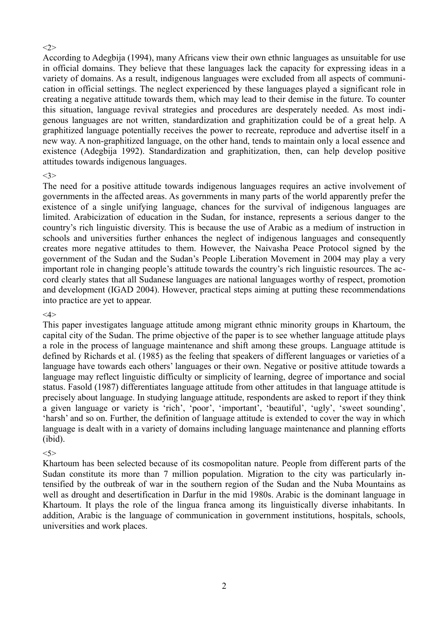#### $\langle 2 \rangle$

According to Adegbija (1994), many Africans view their own ethnic languages as unsuitable for use in official domains. They believe that these languages lack the capacity for expressing ideas in a variety of domains. As a result, indigenous languages were excluded from all aspects of communication in official settings. The neglect experienced by these languages played a significant role in creating a negative attitude towards them, which may lead to their demise in the future. To counter this situation, language revival strategies and procedures are desperately needed. As most indigenous languages are not written, standardization and graphitization could be of a great help. A graphitized language potentially receives the power to recreate, reproduce and advertise itself in a new way. A non-graphitized language, on the other hand, tends to maintain only a local essence and existence (Adegbija 1992). Standardization and graphitization, then, can help develop positive attitudes towards indigenous languages.

#### <3>

The need for a positive attitude towards indigenous languages requires an active involvement of governments in the affected areas. As governments in many parts of the world apparently prefer the existence of a single unifying language, chances for the survival of indigenous languages are limited. Arabicization of education in the Sudan, for instance, represents a serious danger to the country's rich linguistic diversity. This is because the use of Arabic as a medium of instruction in schools and universities further enhances the neglect of indigenous languages and consequently creates more negative attitudes to them. However, the Naivasha Peace Protocol signed by the government of the Sudan and the Sudan's People Liberation Movement in 2004 may play a very important role in changing people's attitude towards the country's rich linguistic resources. The accord clearly states that all Sudanese languages are national languages worthy of respect, promotion and development (IGAD 2004). However, practical steps aiming at putting these recommendations into practice are yet to appear.

#### <4>

This paper investigates language attitude among migrant ethnic minority groups in Khartoum, the capital city of the Sudan. The prime objective of the paper is to see whether language attitude plays a role in the process of language maintenance and shift among these groups. Language attitude is defined by Richards et al. (1985) as the feeling that speakers of different languages or varieties of a language have towards each others' languages or their own. Negative or positive attitude towards a language may reflect linguistic difficulty or simplicity of learning, degree of importance and social status. Fasold (1987) differentiates language attitude from other attitudes in that language attitude is precisely about language. In studying language attitude, respondents are asked to report if they think a given language or variety is 'rich', 'poor', 'important', 'beautiful', 'ugly', 'sweet sounding', 'harsh' and so on. Further, the definition of language attitude is extended to cover the way in which language is dealt with in a variety of domains including language maintenance and planning efforts (ibid).

## <5>

Khartoum has been selected because of its cosmopolitan nature. People from different parts of the Sudan constitute its more than 7 million population. Migration to the city was particularly intensified by the outbreak of war in the southern region of the Sudan and the Nuba Mountains as well as drought and desertification in Darfur in the mid 1980s. Arabic is the dominant language in Khartoum. It plays the role of the lingua franca among its linguistically diverse inhabitants. In addition, Arabic is the language of communication in government institutions, hospitals, schools, universities and work places.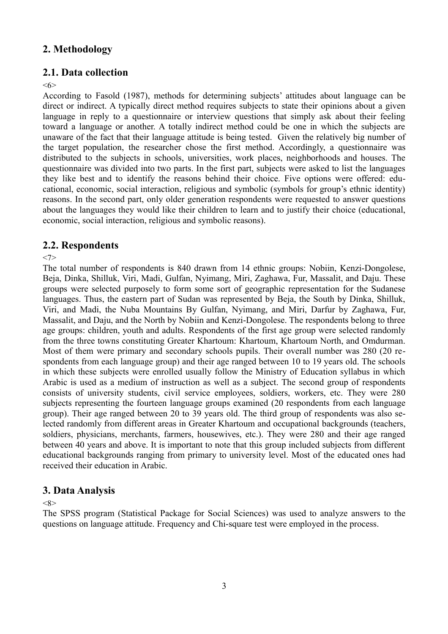# **2. Methodology**

# **2.1. Data collection**

<6>

According to Fasold (1987), methods for determining subjects' attitudes about language can be direct or indirect. A typically direct method requires subjects to state their opinions about a given language in reply to a questionnaire or interview questions that simply ask about their feeling toward a language or another. A totally indirect method could be one in which the subjects are unaware of the fact that their language attitude is being tested. Given the relatively big number of the target population, the researcher chose the first method. Accordingly, a questionnaire was distributed to the subjects in schools, universities, work places, neighborhoods and houses. The questionnaire was divided into two parts. In the first part, subjects were asked to list the languages they like best and to identify the reasons behind their choice. Five options were offered: educational, economic, social interaction, religious and symbolic (symbols for group's ethnic identity) reasons. In the second part, only older generation respondents were requested to answer questions about the languages they would like their children to learn and to justify their choice (educational, economic, social interaction, religious and symbolic reasons).

# **2.2. Respondents**

# <7>

The total number of respondents is 840 drawn from 14 ethnic groups: Nobiin, Kenzi-Dongolese, Beja, Dinka, Shilluk, Viri, Madi, Gulfan, Nyimang, Miri, Zaghawa, Fur, Massalit, and Daju. These groups were selected purposely to form some sort of geographic representation for the Sudanese languages. Thus, the eastern part of Sudan was represented by Beja, the South by Dinka, Shilluk, Viri, and Madi, the Nuba Mountains By Gulfan, Nyimang, and Miri, Darfur by Zaghawa, Fur, Massalit, and Daju, and the North by Nobiin and Kenzi-Dongolese. The respondents belong to three age groups: children, youth and adults. Respondents of the first age group were selected randomly from the three towns constituting Greater Khartoum: Khartoum, Khartoum North, and Omdurman. Most of them were primary and secondary schools pupils. Their overall number was 280 (20 respondents from each language group) and their age ranged between 10 to 19 years old. The schools in which these subjects were enrolled usually follow the Ministry of Education syllabus in which Arabic is used as a medium of instruction as well as a subject. The second group of respondents consists of university students, civil service employees, soldiers, workers, etc. They were 280 subjects representing the fourteen language groups examined (20 respondents from each language group). Their age ranged between 20 to 39 years old. The third group of respondents was also selected randomly from different areas in Greater Khartoum and occupational backgrounds (teachers, soldiers, physicians, merchants, farmers, housewives, etc.). They were 280 and their age ranged between 40 years and above. It is important to note that this group included subjects from different educational backgrounds ranging from primary to university level. Most of the educated ones had received their education in Arabic.

# **3. Data Analysis**

## $<$ 8 $>$

The SPSS program (Statistical Package for Social Sciences) was used to analyze answers to the questions on language attitude. Frequency and Chi-square test were employed in the process.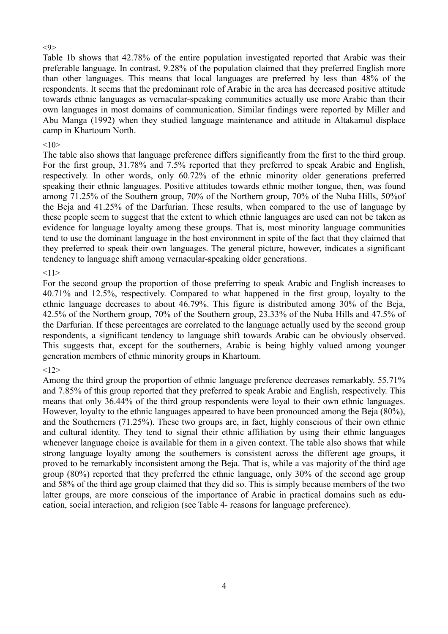#### $\langle 9 \rangle$

Table 1b shows that 42.78% of the entire population investigated reported that Arabic was their preferable language. In contrast, 9.28% of the population claimed that they preferred English more than other languages. This means that local languages are preferred by less than 48% of the respondents. It seems that the predominant role of Arabic in the area has decreased positive attitude towards ethnic languages as vernacular-speaking communities actually use more Arabic than their own languages in most domains of communication. Similar findings were reported by Miller and Abu Manga (1992) when they studied language maintenance and attitude in Altakamul displace camp in Khartoum North.

## $10>$

The table also shows that language preference differs significantly from the first to the third group. For the first group, 31.78% and 7.5% reported that they preferred to speak Arabic and English, respectively. In other words, only 60.72% of the ethnic minority older generations preferred speaking their ethnic languages. Positive attitudes towards ethnic mother tongue, then, was found among 71.25% of the Southern group, 70% of the Northern group, 70% of the Nuba Hills, 50%of the Beja and 41.25% of the Darfurian. These results, when compared to the use of language by these people seem to suggest that the extent to which ethnic languages are used can not be taken as evidence for language loyalty among these groups. That is, most minority language communities tend to use the dominant language in the host environment in spite of the fact that they claimed that they preferred to speak their own languages. The general picture, however, indicates a significant tendency to language shift among vernacular-speaking older generations.

## $<11>$

For the second group the proportion of those preferring to speak Arabic and English increases to 40.71% and 12.5%, respectively. Compared to what happened in the first group, loyalty to the ethnic language decreases to about 46.79%. This figure is distributed among 30% of the Beja, 42.5% of the Northern group, 70% of the Southern group, 23.33% of the Nuba Hills and 47.5% of the Darfurian. If these percentages are correlated to the language actually used by the second group respondents, a significant tendency to language shift towards Arabic can be obviously observed. This suggests that, except for the southerners, Arabic is being highly valued among younger generation members of ethnic minority groups in Khartoum.

## $<12>$

Among the third group the proportion of ethnic language preference decreases remarkably. 55.71% and 7.85% of this group reported that they preferred to speak Arabic and English, respectively. This means that only 36.44% of the third group respondents were loyal to their own ethnic languages. However, loyalty to the ethnic languages appeared to have been pronounced among the Beja (80%), and the Southerners (71.25%). These two groups are, in fact, highly conscious of their own ethnic and cultural identity. They tend to signal their ethnic affiliation by using their ethnic languages whenever language choice is available for them in a given context. The table also shows that while strong language loyalty among the southerners is consistent across the different age groups, it proved to be remarkably inconsistent among the Beja. That is, while a vas majority of the third age group (80%) reported that they preferred the ethnic language, only 30% of the second age group and 58% of the third age group claimed that they did so. This is simply because members of the two latter groups, are more conscious of the importance of Arabic in practical domains such as education, social interaction, and religion (see Table 4- reasons for language preference).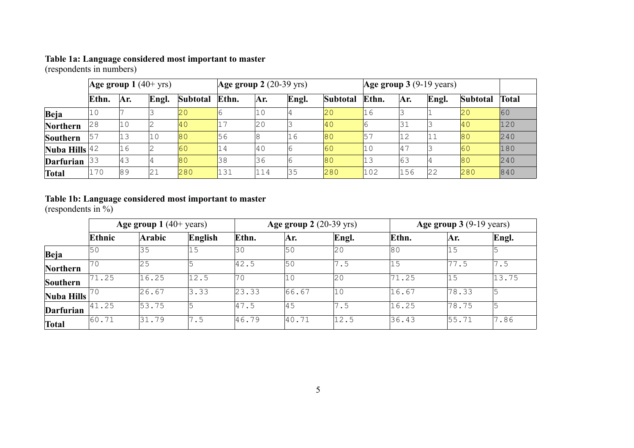#### **Table 1a: Language considered most important to master**

(respondents in numbers)

|                   | $ Age\ group\ 1\ (40+yrs) $ |     |       | $ Age\ group\ 2\ (20-39\ yrs) $ |       |         | Age group $3(9-19 \text{ years})$ |              |                 |                |       |              |       |
|-------------------|-----------------------------|-----|-------|---------------------------------|-------|---------|-----------------------------------|--------------|-----------------|----------------|-------|--------------|-------|
|                   | Ethn.                       | Ar. | Engl. | Subtotal                        | Ethn. | Ar.     | Engl.                             | Subtotal     | Ethn.           | Ar.            | Engl. | Subtotal     | Total |
| Beja              | 10                          |     |       | $ 20\rangle$                    |       | $\pm 0$ |                                   | $ 20\rangle$ | l1 6            |                |       | $ 20\rangle$ | 60    |
| Northern          | 28                          | 10  |       | 40                              |       | 20      |                                   | <b>40</b>    |                 |                |       | $ 40\rangle$ | 120   |
| Southern          | 57                          | 13  | 10    | 80                              | 56    | 18      | 16                                | 80           | $\overline{57}$ | 11 つ           | '11   | 80           | 240   |
| Nuba Hills $ 42 $ |                             | 16  |       | 60                              | 14    | 40      | 16                                | 60           | 10              | $14^{\degree}$ |       | 60           | 180   |
| Darfurian         | 33                          | 43  | 14    | 80                              | 38    | 36      |                                   | 80           | 13              | 63             |       | 80           | 240   |
| <b>Total</b>      | 170                         | 89  | 21    | 280                             | 131   | 114     | 35                                | 280          | 102             | 156            | 22    | 280          | 840   |

#### **Table 1b: Language considered most important to master**

(respondents in %)

|                  | Age group $1(40+)$ years) |        |         |       | <b>Age group 2</b> (20-39 yrs) |              |       | Age group $3(9-19 \text{ years})$ |       |  |
|------------------|---------------------------|--------|---------|-------|--------------------------------|--------------|-------|-----------------------------------|-------|--|
|                  | Ethnic                    | Arabic | English | Ethn. | Ar.                            | Engl.        | Ethn. | Ar.                               | Engl. |  |
| Beja             | 50                        | 35     | 15      | 30    | 50                             | $ 20\rangle$ | 180   | 15                                |       |  |
| Northern         | 70                        | 25     |         | 42.5  | l50                            | 7.5          | 15    | 77.5                              | 7.5   |  |
| Southern         | 71.25                     | 16.25  | 12.5    | 70    | 10                             | 20           | 71.25 | 15                                | 13.75 |  |
| Nuba Hills       | 170                       | 26.67  | 3.33    | 23.33 | 66.67                          | $ 10\rangle$ | 16.67 | 78.33                             |       |  |
| <b>Darfurian</b> | 41.25                     | 53.75  |         | 47.5  | 45                             | 7.5          | 16.25 | 78.75                             |       |  |
| <b>Total</b>     | 60.71                     | 31.79  | 7.5     | 46.79 | 40.71                          | 12.5         | 36.43 | 55.71                             | 7.86  |  |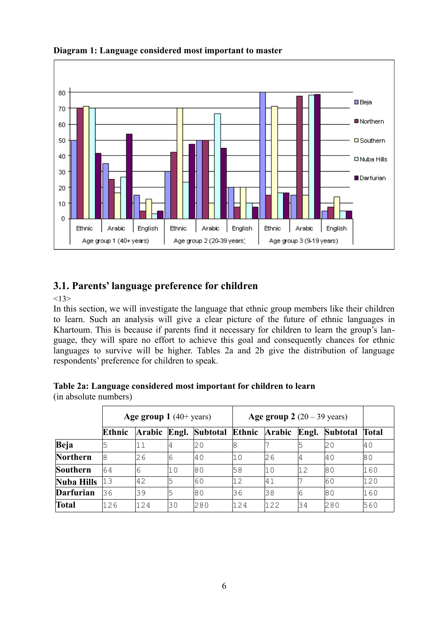

**Diagram 1: Language considered most important to master**

# **3.1. Parents' language preference for children**

 $<13>$ 

In this section, we will investigate the language that ethnic group members like their children to learn. Such an analysis will give a clear picture of the future of ethnic languages in Khartoum. This is because if parents find it necessary for children to learn the group's language, they will spare no effort to achieve this goal and consequently chances for ethnic languages to survive will be higher. Tables 2a and 2b give the distribution of language respondents' preference for children to speak.

(in absolute numbers)

|                  | Age group $1(40+)$ years) |        |    |                                    | Age group $2(20-39 \text{ years})$ |     |    |          |       |
|------------------|---------------------------|--------|----|------------------------------------|------------------------------------|-----|----|----------|-------|
|                  | Ethnic                    | Arabic |    | Engl. Subtotal Ethnic Arabic Engl. |                                    |     |    | Subtotal | Total |
| Beja             | 5                         | 11     | 14 | 20                                 | 18                                 |     |    | I2 O     | l4 O  |
| Northern         | 18                        | 26     | 16 | l4 O                               | l1 0                               | 26  | 4  | l4 O     | 180   |
| Southern         | 64                        | 6      | 10 | 180                                | 58                                 | 10  | 12 | 180      | 160   |
| Nuba Hills       | 13                        | 42     | 5  | 60                                 | 12                                 | 41  |    | 160      | 120   |
| <b>Darfurian</b> | 36                        | 39     | 5  | 180                                | 36                                 | 38  | 16 | 180      | 160   |
| <b>Total</b>     | 126                       | 124    | 30 | 280                                | 124                                | 122 | 34 | 280      | 560   |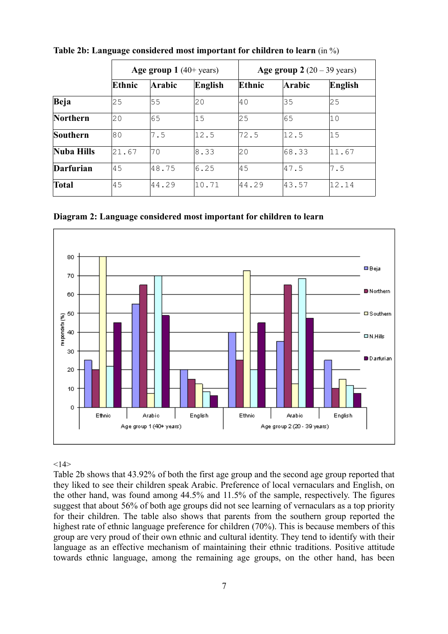|            |        | Age group $1(40+)$ years) |         |        | Age group $2(20-39 \text{ years})$ |         |  |  |
|------------|--------|---------------------------|---------|--------|------------------------------------|---------|--|--|
|            | Ethnic | <b>Arabic</b>             | English | Ethnic | <b>Arabic</b>                      | English |  |  |
| Beja       | 125    | 55                        | 20      | l40    | 35                                 | 25      |  |  |
| Northern   | 20     | 65                        | 15      | 25     | 65                                 | 10      |  |  |
| Southern   | 180    | 7.5                       | 12.5    | 72.5   | 12.5                               | 15      |  |  |
| Nuba Hills | 21.67  | 70                        | 18.33   | 20     | 68.33                              | 11.67   |  |  |
| Darfurian  | l45    | 48.75                     | 6.25    | 145    | 47.5                               | 7.5     |  |  |
| Total      | 45     | 44.29                     | 10.71   | 44.29  | 43.57                              | 12.14   |  |  |

**Table 2b: Language considered most important for children to learn** (in %)

**Diagram 2: Language considered most important for children to learn**



 $<14>$ 

Table 2b shows that 43.92% of both the first age group and the second age group reported that they liked to see their children speak Arabic. Preference of local vernaculars and English, on the other hand, was found among 44.5% and 11.5% of the sample, respectively. The figures suggest that about 56% of both age groups did not see learning of vernaculars as a top priority for their children. The table also shows that parents from the southern group reported the highest rate of ethnic language preference for children (70%). This is because members of this group are very proud of their own ethnic and cultural identity. They tend to identify with their language as an effective mechanism of maintaining their ethnic traditions. Positive attitude towards ethnic language, among the remaining age groups, on the other hand, has been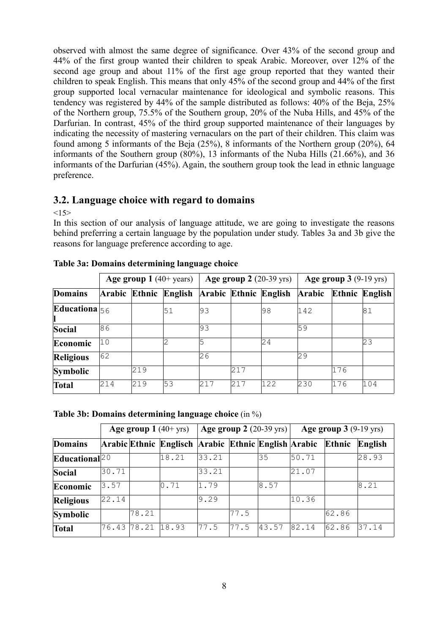observed with almost the same degree of significance. Over 43% of the second group and 44% of the first group wanted their children to speak Arabic. Moreover, over 12% of the second age group and about 11% of the first age group reported that they wanted their children to speak English. This means that only 45% of the second group and 44% of the first group supported local vernacular maintenance for ideological and symbolic reasons. This tendency was registered by 44% of the sample distributed as follows: 40% of the Beja, 25% of the Northern group, 75.5% of the Southern group, 20% of the Nuba Hills, and 45% of the Darfurian. In contrast, 45% of the third group supported maintenance of their languages by indicating the necessity of mastering vernaculars on the part of their children. This claim was found among 5 informants of the Beja (25%), 8 informants of the Northern group (20%), 64 informants of the Southern group (80%), 13 informants of the Nuba Hills (21.66%), and 36 informants of the Darfurian (45%). Again, the southern group took the lead in ethnic language preference.

# **3.2. Language choice with regard to domains**

 $<15>$ 

In this section of our analysis of language attitude, we are going to investigate the reasons behind preferring a certain language by the population under study. Tables 3a and 3b give the reasons for language preference according to age.

|                        | Age group $1(40+)$ years) |     |                       | Age group $2(20-39 \text{ yrs})$ |     |                       | Age group $3(9-19 \text{ yrs})$ |     |                |
|------------------------|---------------------------|-----|-----------------------|----------------------------------|-----|-----------------------|---------------------------------|-----|----------------|
| <b>Domains</b>         |                           |     | Arabic Ethnic English |                                  |     | Arabic Ethnic English | Arabic                          |     | Ethnic English |
| <b>Educationa</b> $56$ |                           |     | 51                    | 193                              |     | 198                   | 142                             |     | 181            |
| Social                 | 86                        |     |                       | 193                              |     |                       | 59                              |     |                |
| Economic               | 10                        |     |                       | 15                               |     | 24                    |                                 |     | 23             |
| <b>Religious</b>       | 62                        |     |                       | 26                               |     |                       | 29                              |     |                |
| Symbolic               |                           | 219 |                       |                                  | 217 |                       |                                 | 176 |                |
| <b>Total</b>           | 214                       | 219 | 53                    | 217                              | 217 | 122                   | 230                             | 176 | 104            |

| Table 3a: Domains determining language choice |  |  |
|-----------------------------------------------|--|--|
|-----------------------------------------------|--|--|

# **Table 3b: Domains determining language choice** (in %)

| Age group $1(40+yrs)$ |       |       |                                                     | <b>Age group 2</b> (20-39 yrs) $\vert$ |       |       | Age group $3(9-19 \text{ yrs})$ |        |         |
|-----------------------|-------|-------|-----------------------------------------------------|----------------------------------------|-------|-------|---------------------------------|--------|---------|
| <b>Domains</b>        |       |       | Arabic Ethnic Englisch Arabic Ethnic English Arabic |                                        |       |       |                                 | Ethnic | English |
| Educational $ 20 $    |       |       | 18.21                                               | 33.21                                  |       | 35    | 50.71                           |        | 28.93   |
| Social                | 30.71 |       |                                                     | 33.21                                  |       |       | 21.07                           |        |         |
| Economic              | 3.57  |       | 0.71                                                | 1.79                                   |       | 8.57  |                                 |        | 8.21    |
| <b>Religious</b>      | 22.14 |       |                                                     | 9.29                                   |       |       | 10.36                           |        |         |
| <b>Symbolic</b>       |       | 78.21 |                                                     |                                        | 77.5  |       |                                 | 62.86  |         |
| <b>Total</b>          | 76.43 | 78.21 | 18.93                                               | 77.5                                   | 177.5 | 43.57 | 82.14                           | 62.86  | 37.14   |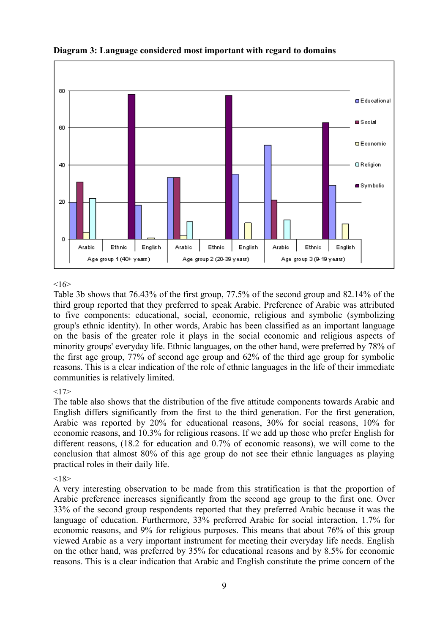

## **Diagram 3: Language considered most important with regard to domains**

## $16$

Table 3b shows that 76.43% of the first group, 77.5% of the second group and 82.14% of the third group reported that they preferred to speak Arabic. Preference of Arabic was attributed to five components: educational, social, economic, religious and symbolic (symbolizing group's ethnic identity). In other words, Arabic has been classified as an important language on the basis of the greater role it plays in the social economic and religious aspects of minority groups' everyday life. Ethnic languages, on the other hand, were preferred by 78% of the first age group, 77% of second age group and 62% of the third age group for symbolic reasons. This is a clear indication of the role of ethnic languages in the life of their immediate communities is relatively limited.

#### $<17>$

The table also shows that the distribution of the five attitude components towards Arabic and English differs significantly from the first to the third generation. For the first generation, Arabic was reported by 20% for educational reasons, 30% for social reasons, 10% for economic reasons, and 10.3% for religious reasons. If we add up those who prefer English for different reasons, (18.2 for education and 0.7% of economic reasons), we will come to the conclusion that almost 80% of this age group do not see their ethnic languages as playing practical roles in their daily life.

## $< 18$

A very interesting observation to be made from this stratification is that the proportion of Arabic preference increases significantly from the second age group to the first one. Over 33% of the second group respondents reported that they preferred Arabic because it was the language of education. Furthermore, 33% preferred Arabic for social interaction, 1.7% for economic reasons, and 9% for religious purposes. This means that about 76% of this group viewed Arabic as a very important instrument for meeting their everyday life needs. English on the other hand, was preferred by 35% for educational reasons and by 8.5% for economic reasons. This is a clear indication that Arabic and English constitute the prime concern of the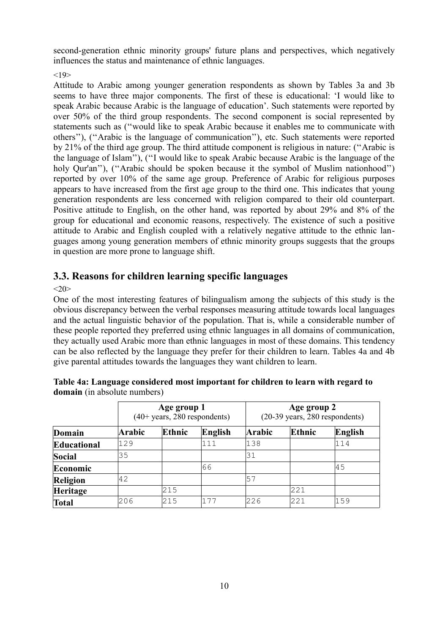second-generation ethnic minority groups' future plans and perspectives, which negatively influences the status and maintenance of ethnic languages.

 $< 19$ 

Attitude to Arabic among younger generation respondents as shown by Tables 3a and 3b seems to have three major components. The first of these is educational: 'I would like to speak Arabic because Arabic is the language of education'. Such statements were reported by over 50% of the third group respondents. The second component is social represented by statements such as (''would like to speak Arabic because it enables me to communicate with others''), (''Arabic is the language of communication''), etc. Such statements were reported by 21% of the third age group. The third attitude component is religious in nature: (''Arabic is the language of Islam''), (''I would like to speak Arabic because Arabic is the language of the holy Qur'an''), ("Arabic should be spoken because it the symbol of Muslim nationhood") reported by over 10% of the same age group. Preference of Arabic for religious purposes appears to have increased from the first age group to the third one. This indicates that young generation respondents are less concerned with religion compared to their old counterpart. Positive attitude to English, on the other hand, was reported by about 29% and 8% of the group for educational and economic reasons, respectively. The existence of such a positive attitude to Arabic and English coupled with a relatively negative attitude to the ethnic languages among young generation members of ethnic minority groups suggests that the groups in question are more prone to language shift.

# **3.3. Reasons for children learning specific languages**

 $<20>$ 

One of the most interesting features of bilingualism among the subjects of this study is the obvious discrepancy between the verbal responses measuring attitude towards local languages and the actual linguistic behavior of the population. That is, while a considerable number of these people reported they preferred using ethnic languages in all domains of communication, they actually used Arabic more than ethnic languages in most of these domains. This tendency can be also reflected by the language they prefer for their children to learn. Tables 4a and 4b give parental attitudes towards the languages they want children to learn.

|              |        | Age group 1<br>$(40+ \text{years}, 280 \text{ respondents})$ |         |        | Age group 2<br>$(20-39 \text{ years}, 280 \text{ respondents})$ |         |  |  |
|--------------|--------|--------------------------------------------------------------|---------|--------|-----------------------------------------------------------------|---------|--|--|
| Domain       | Arabic | Ethnic                                                       | English | Arabic | Ethnic                                                          | English |  |  |
| Educational  | 129    |                                                              | 111     | 138    |                                                                 | 114     |  |  |
| Social       | 35     |                                                              |         | 31     |                                                                 |         |  |  |
| Economic     |        |                                                              | 66      |        |                                                                 | 45      |  |  |
| Religion     | 42     |                                                              |         | 57     |                                                                 |         |  |  |
| Heritage     |        | 215                                                          |         |        | 221                                                             |         |  |  |
| <b>Total</b> | 206    | 215                                                          | 177     | 226    | 221                                                             | 159     |  |  |

|                                     | Table 4a: Language considered most important for children to learn with regard to |  |
|-------------------------------------|-----------------------------------------------------------------------------------|--|
| <b>domain</b> (in absolute numbers) |                                                                                   |  |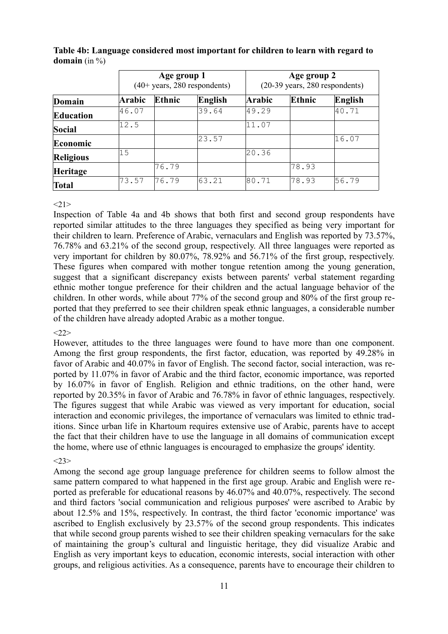|                  |               | Age group 1 | $(40+ \text{years}, 280 \text{ respondents})$ |               | Age group 2<br>$(20-39 \text{ years}, 280 \text{ respondents})$ |         |  |  |
|------------------|---------------|-------------|-----------------------------------------------|---------------|-----------------------------------------------------------------|---------|--|--|
| Domain           | <b>Arabic</b> | Ethnic      | English                                       | <b>Arabic</b> | <b>Ethnic</b>                                                   | English |  |  |
| Education        | 46.07         |             | 39.64                                         | 49.29         |                                                                 | 40.71   |  |  |
| Social           | 12.5          |             |                                               | 11.07         |                                                                 |         |  |  |
| Economic         |               |             | 23.57                                         |               |                                                                 | 16.07   |  |  |
| <b>Religious</b> | 15            |             |                                               | 20.36         |                                                                 |         |  |  |
| Heritage         |               | 76.79       |                                               |               | 78.93                                                           |         |  |  |
| <b>Total</b>     | 73.57         | 176.79      | 63.21                                         | 180.71        | 78.93                                                           | 56.79   |  |  |

**Table 4b: Language considered most important for children to learn with regard to domain** (in %)

## $<21>$

Inspection of Table 4a and 4b shows that both first and second group respondents have reported similar attitudes to the three languages they specified as being very important for their children to learn. Preference of Arabic, vernaculars and English was reported by 73.57%, 76.78% and 63.21% of the second group, respectively. All three languages were reported as very important for children by 80.07%, 78.92% and 56.71% of the first group, respectively. These figures when compared with mother tongue retention among the young generation, suggest that a significant discrepancy exists between parents' verbal statement regarding ethnic mother tongue preference for their children and the actual language behavior of the children. In other words, while about 77% of the second group and 80% of the first group reported that they preferred to see their children speak ethnic languages, a considerable number of the children have already adopted Arabic as a mother tongue.

## $<22>$

However, attitudes to the three languages were found to have more than one component. Among the first group respondents, the first factor, education, was reported by 49.28% in favor of Arabic and 40.07% in favor of English. The second factor, social interaction, was reported by 11.07% in favor of Arabic and the third factor, economic importance, was reported by 16.07% in favor of English. Religion and ethnic traditions, on the other hand, were reported by 20.35% in favor of Arabic and 76.78% in favor of ethnic languages, respectively. The figures suggest that while Arabic was viewed as very important for education, social interaction and economic privileges, the importance of vernaculars was limited to ethnic traditions. Since urban life in Khartoum requires extensive use of Arabic, parents have to accept the fact that their children have to use the language in all domains of communication except the home, where use of ethnic languages is encouraged to emphasize the groups' identity.

# $<23>$

Among the second age group language preference for children seems to follow almost the same pattern compared to what happened in the first age group. Arabic and English were reported as preferable for educational reasons by 46.07% and 40.07%, respectively. The second and third factors 'social communication and religious purposes' were ascribed to Arabic by about 12.5% and 15%, respectively. In contrast, the third factor 'economic importance' was ascribed to English exclusively by 23.57% of the second group respondents. This indicates that while second group parents wished to see their children speaking vernaculars for the sake of maintaining the group's cultural and linguistic heritage, they did visualize Arabic and English as very important keys to education, economic interests, social interaction with other groups, and religious activities. As a consequence, parents have to encourage their children to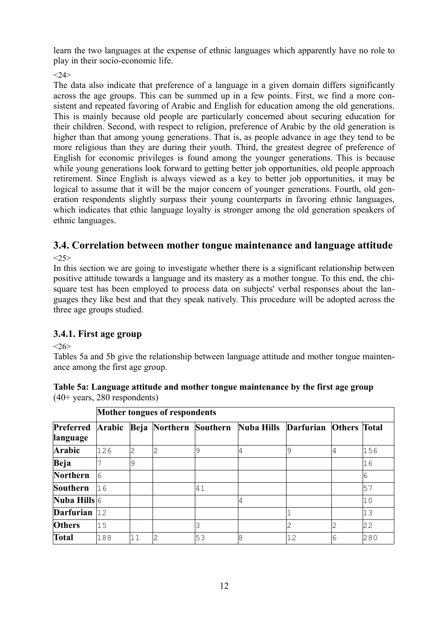learn the two languages at the expense of ethnic languages which apparently have no role to play in their socio-economic life.

 $<24>$ 

The data also indicate that preference of a language in a given domain differs significantly across the age groups. This can be summed up in a few points. First, we find a more consistent and repeated favoring of Arabic and English for education among the old generations. This is mainly because old people are particularly concerned about securing education for their children. Second, with respect to religion, preference of Arabic by the old generation is higher than that among young generations. That is, as people advance in age they tend to be more religious than they are during their youth. Third, the greatest degree of preference of English for economic privileges is found among the younger generations. This is because while young generations look forward to getting better job opportunities, old people approach retirement. Since English is always viewed as a key to better job opportunities, it may be logical to assume that it will be the major concern of younger generations. Fourth, old generation respondents slightly surpass their young counterparts in favoring ethnic languages, which indicates that ethic language loyalty is stronger among the old generation speakers of ethnic languages.

# **3.4. Correlation between mother tongue maintenance and language attitude**

 $<25>$ 

In this section we are going to investigate whether there is a significant relationship between positive attitude towards a language and its mastery as a mother tongue. To this end, the chisquare test has been employed to process data on subjects' verbal responses about the languages they like best and that they speak natively. This procedure will be adopted across the three age groups studied.

# **3.4.1. First age group**

 $<26>$ 

Tables 5a and 5b give the relationship between language attitude and mother tongue maintenance among the first age group.

| Table 5a: Language attitude and mother tongue maintenance by the first age group |  |
|----------------------------------------------------------------------------------|--|
| $(40+ \text{years}, 280$ respondents)                                            |  |

|                       | <b>Mother tongues of respondents</b> |    |   |    |                                             |    |                     |     |  |  |  |
|-----------------------|--------------------------------------|----|---|----|---------------------------------------------|----|---------------------|-----|--|--|--|
| Preferred<br>language | Arabic                               |    |   |    | Beja Northern Southern Nuba Hills Darfurian |    | <b>Others</b> Total |     |  |  |  |
| Arabic                | 126                                  | 2  | 2 | 9  | 4                                           | 9  | 14                  | 156 |  |  |  |
| Beja                  |                                      | 9  |   |    |                                             |    |                     | 16  |  |  |  |
| Northern              | 6                                    |    |   |    |                                             |    |                     | 6   |  |  |  |
| Southern              | 16                                   |    |   | 41 |                                             |    |                     | 57  |  |  |  |
| Nuba Hills $ 6 $      |                                      |    |   |    | 4                                           |    |                     | 10  |  |  |  |
| <b>Darfurian</b>      | 12                                   |    |   |    |                                             |    |                     | 13  |  |  |  |
| <b>Others</b>         | 15                                   |    |   |    |                                             |    | 2                   | 22  |  |  |  |
| Total                 | 188                                  | 11 | 2 | 53 | 8                                           | 12 | 6                   | 280 |  |  |  |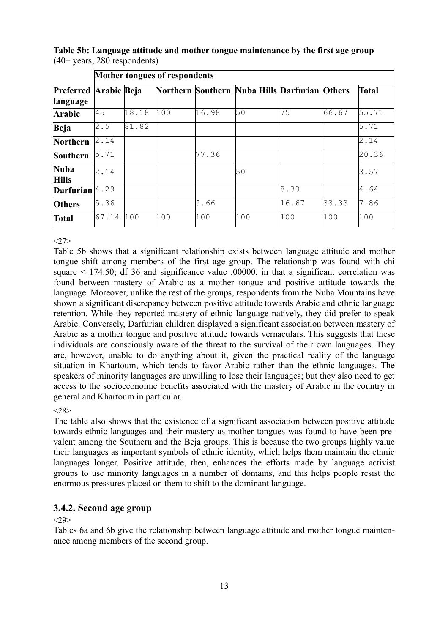|                                   |       | Mother tongues of respondents |     |       |                                               |       |       |              |  |  |  |  |
|-----------------------------------|-------|-------------------------------|-----|-------|-----------------------------------------------|-------|-------|--------------|--|--|--|--|
| Preferred Arabic Beja<br>language |       |                               |     |       | Northern Southern Nuba Hills Darfurian Others |       |       | <b>Total</b> |  |  |  |  |
| Arabic                            | 45    | 18.18                         | 100 | 16.98 | 50                                            | 75    | 66.67 | 55.71        |  |  |  |  |
| Beja                              | 2.5   | 81.82                         |     |       |                                               |       |       | 5.71         |  |  |  |  |
| Northern                          | 2.14  |                               |     |       |                                               |       |       | 2.14         |  |  |  |  |
| Southern                          | 5.71  |                               |     | 77.36 |                                               |       |       | 20.36        |  |  |  |  |
| <b>Nuba</b><br><b>Hills</b>       | 2.14  |                               |     |       | 50                                            |       |       | 3.57         |  |  |  |  |
| <b>Darfurian</b>                  | 4.29  |                               |     |       |                                               | 8.33  |       | 4.64         |  |  |  |  |
| <b>Others</b>                     | 5.36  |                               |     | 5.66  |                                               | 16.67 | 33.33 | 7.86         |  |  |  |  |
| <b>Total</b>                      | 67.14 | 100                           | 100 | 100   | 100                                           | 100   | 100   | 100          |  |  |  |  |

**Table 5b: Language attitude and mother tongue maintenance by the first age group** (40+ years, 280 respondents)

 $<27>$ 

Table 5b shows that a significant relationship exists between language attitude and mother tongue shift among members of the first age group. The relationship was found with chi square  $\leq$  174.50; df 36 and significance value .00000, in that a significant correlation was found between mastery of Arabic as a mother tongue and positive attitude towards the language. Moreover, unlike the rest of the groups, respondents from the Nuba Mountains have shown a significant discrepancy between positive attitude towards Arabic and ethnic language retention. While they reported mastery of ethnic language natively, they did prefer to speak Arabic. Conversely, Darfurian children displayed a significant association between mastery of Arabic as a mother tongue and positive attitude towards vernaculars. This suggests that these individuals are consciously aware of the threat to the survival of their own languages. They are, however, unable to do anything about it, given the practical reality of the language situation in Khartoum, which tends to favor Arabic rather than the ethnic languages. The speakers of minority languages are unwilling to lose their languages; but they also need to get access to the socioeconomic benefits associated with the mastery of Arabic in the country in general and Khartoum in particular.

 $< 28$ 

The table also shows that the existence of a significant association between positive attitude towards ethnic languages and their mastery as mother tongues was found to have been prevalent among the Southern and the Beja groups. This is because the two groups highly value their languages as important symbols of ethnic identity, which helps them maintain the ethnic languages longer. Positive attitude, then, enhances the efforts made by language activist groups to use minority languages in a number of domains, and this helps people resist the enormous pressures placed on them to shift to the dominant language.

# **3.4.2. Second age group**

## $<29$

Tables 6a and 6b give the relationship between language attitude and mother tongue maintenance among members of the second group.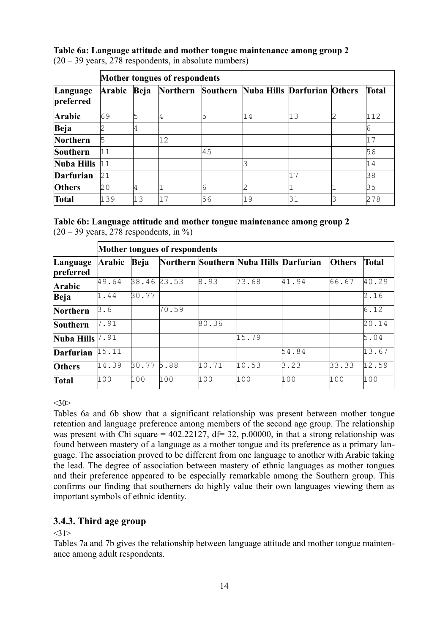# **Table 6a: Language attitude and mother tongue maintenance among group 2**

|                       | Mother tongues of respondents |      |    |    |                                               |    |   |              |  |  |
|-----------------------|-------------------------------|------|----|----|-----------------------------------------------|----|---|--------------|--|--|
| Language<br>preferred | Arabic                        | Beja |    |    | Northern Southern Nuba Hills Darfurian Others |    |   | <b>Total</b> |  |  |
| Arabic                | 69                            | 5    |    |    | '14                                           | 13 | 2 | 112          |  |  |
| Beja                  |                               | 4    |    |    |                                               |    |   | 6            |  |  |
| Northern              | 5                             |      | 12 |    |                                               |    |   | 17           |  |  |
| Southern              | 11                            |      |    | 45 |                                               |    |   | 56           |  |  |
| Nuba Hills            | 11                            |      |    |    |                                               |    |   | 14           |  |  |
| <b>Darfurian</b>      | 21                            |      |    |    |                                               |    |   | 38           |  |  |
| <b>Others</b>         | 20                            | 4    |    | 6  | 2                                             |    |   | 35           |  |  |
| Total                 | 139                           | 13   | 17 | 56 | 19                                            | 31 |   | 278          |  |  |

 $(20 - 39 \text{ years}, 278 \text{ respondents}, \text{in absolute numbers})$ 

# **Table 6b: Language attitude and mother tongue maintenance among group 2**

 $(20 - 39 \text{ years}, 278 \text{ respondents}, \text{in } \%)$ 

|                       | Mother tongues of respondents |       |       |       |                                        |       |               |              |  |  |
|-----------------------|-------------------------------|-------|-------|-------|----------------------------------------|-------|---------------|--------------|--|--|
| Language<br>preferred | Arabic                        | Beja  |       |       | Northern Southern Nuba Hills Darfurian |       | <b>Others</b> | <b>Total</b> |  |  |
| <b>Arabic</b>         | 49.64                         | 38.46 | 23.53 | 8.93  | 73.68                                  | 41.94 | 66.67         | 40.29        |  |  |
| Beja                  | 1.44                          | 30.77 |       |       |                                        |       |               | 2.16         |  |  |
| Northern              | 3.6                           |       | 70.59 |       |                                        |       |               | 6.12         |  |  |
| Southern              | 7.91                          |       |       | 80.36 |                                        |       |               | 20.14        |  |  |
| Nuba Hills $7.91$     |                               |       |       |       | 15.79                                  |       |               | 5.04         |  |  |
| Darfurian             | 15.11                         |       |       |       |                                        | 54.84 |               | 13.67        |  |  |
| <b>Others</b>         | 14.39                         | 30.77 | 5.88  | 10.71 | 10.53                                  | 3.23  | 33.33         | 12.59        |  |  |
| <b>Total</b>          | 100                           | 100   | 100   | 100   | 100                                    | 100   | 100           | 100          |  |  |

 $<30>$ 

Tables 6a and 6b show that a significant relationship was present between mother tongue retention and language preference among members of the second age group. The relationship was present with Chi square =  $402.22127$ , df= 32, p.00000, in that a strong relationship was found between mastery of a language as a mother tongue and its preference as a primary language. The association proved to be different from one language to another with Arabic taking the lead. The degree of association between mastery of ethnic languages as mother tongues and their preference appeared to be especially remarkable among the Southern group. This confirms our finding that southerners do highly value their own languages viewing them as important symbols of ethnic identity.

# **3.4.3. Third age group**

 $<31>$ 

Tables 7a and 7b gives the relationship between language attitude and mother tongue maintenance among adult respondents.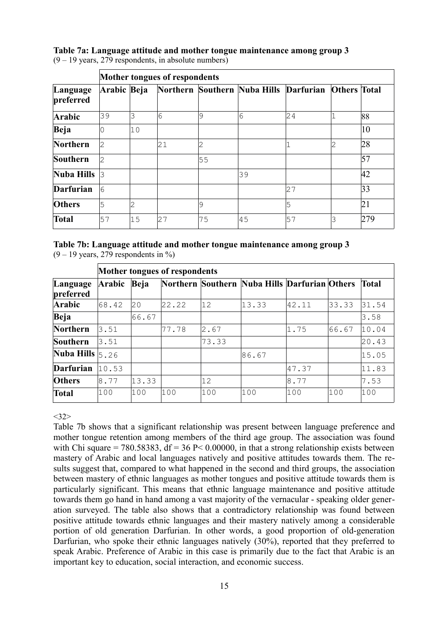# **Table 7a: Language attitude and mother tongue maintenance among group 3**

| Language<br>preferred |             | Mother tongues of respondents |    |    |                                                     |    |   |     |  |  |  |  |
|-----------------------|-------------|-------------------------------|----|----|-----------------------------------------------------|----|---|-----|--|--|--|--|
|                       | Arabic Beja |                               |    |    | Northern Southern Nuba Hills Darfurian Others Total |    |   |     |  |  |  |  |
| Arabic                | 39          | 3                             | 6  | 9  | 6                                                   | 24 |   | 88  |  |  |  |  |
| Beja                  |             | 10                            |    |    |                                                     |    |   | 10  |  |  |  |  |
| Northern              | 2           |                               | 21 | 2  |                                                     |    | 2 | 28  |  |  |  |  |
| Southern              | 12          |                               |    | 55 |                                                     |    |   | 57  |  |  |  |  |
| Nuba Hills $ 3 $      |             |                               |    |    | 39                                                  |    |   | 42  |  |  |  |  |
| <b>Darfurian</b>      | 16          |                               |    |    |                                                     | 27 |   | 33  |  |  |  |  |
| <b>Others</b>         | 5           | 2                             |    | 9  |                                                     | 5  |   | 21  |  |  |  |  |
| Total                 | 57          | 15                            | 27 | 75 | 45                                                  | 57 | 3 | 279 |  |  |  |  |

(9 – 19 years, 279 respondents, in absolute numbers)

**Table 7b: Language attitude and mother tongue maintenance among group 3**  $(9 - 19$  years, 279 respondents in %)

| Language<br>preferred                     | Mother tongues of respondents |       |       |       |                                               |       |       |              |  |  |
|-------------------------------------------|-------------------------------|-------|-------|-------|-----------------------------------------------|-------|-------|--------------|--|--|
|                                           | Arabic                        | Beja  |       |       | Northern Southern Nuba Hills Darfurian Others |       |       | <b>Total</b> |  |  |
| Arabic                                    | 68.42                         | 20    | 22.22 | 12    | 13.33                                         | 42.11 | 33.33 | 31.54        |  |  |
| Beja                                      |                               | 66.67 |       |       |                                               |       |       | 3.58         |  |  |
| Northern                                  | 3.51                          |       | 77.78 | 2.67  |                                               | 1.75  | 66.67 | 10.04        |  |  |
| Southern                                  | 3.51                          |       |       | 73.33 |                                               |       |       | 20.43        |  |  |
| <b>Nuba Hills</b> $\vert$ <sub>5.26</sub> |                               |       |       |       | 86.67                                         |       |       | 15.05        |  |  |
| <b>Darfurian</b>                          | 10.53                         |       |       |       |                                               | 47.37 |       | 11.83        |  |  |
| <b>Others</b>                             | 8.77                          | 13.33 |       | 12    |                                               | 8.77  |       | 7.53         |  |  |
| <b>Total</b>                              | 100                           | 100   | 100   | 100   | 100                                           | 100   | 100   | 100          |  |  |

 $<32>$ 

Table 7b shows that a significant relationship was present between language preference and mother tongue retention among members of the third age group. The association was found with Chi square = 780.58383, df = 36 P < 0.00000, in that a strong relationship exists between mastery of Arabic and local languages natively and positive attitudes towards them. The results suggest that, compared to what happened in the second and third groups, the association between mastery of ethnic languages as mother tongues and positive attitude towards them is particularly significant. This means that ethnic language maintenance and positive attitude towards them go hand in hand among a vast majority of the vernacular - speaking older generation surveyed. The table also shows that a contradictory relationship was found between positive attitude towards ethnic languages and their mastery natively among a considerable portion of old generation Darfurian. In other words, a good proportion of old-generation Darfurian, who spoke their ethnic languages natively (30%), reported that they preferred to speak Arabic. Preference of Arabic in this case is primarily due to the fact that Arabic is an important key to education, social interaction, and economic success.